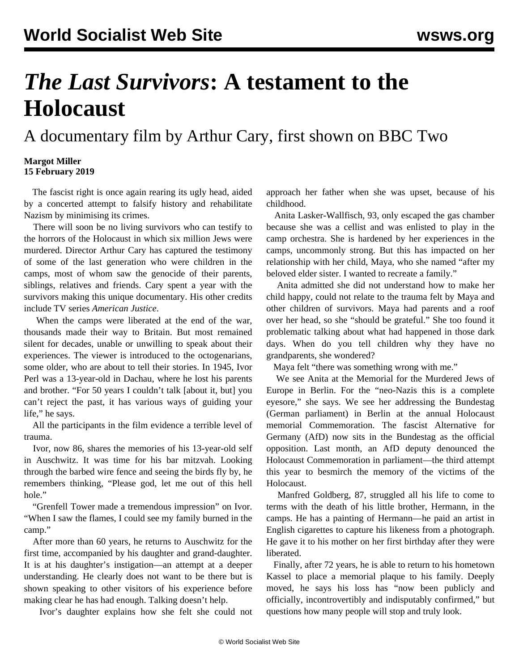## *The Last Survivors***: A testament to the Holocaust**

A documentary film by Arthur Cary, first shown on BBC Two

## **Margot Miller 15 February 2019**

 The fascist right is once again rearing its ugly head, aided by a concerted attempt to falsify history and rehabilitate Nazism by minimising its crimes.

 There will soon be no living survivors who can testify to the horrors of the Holocaust in which six million Jews were murdered. Director Arthur Cary has captured the testimony of some of the last generation who were children in the camps, most of whom saw the genocide of their parents, siblings, relatives and friends. Cary spent a year with the survivors making this unique documentary. His other credits include TV series *American Justice*.

 When the camps were liberated at the end of the war, thousands made their way to Britain. But most remained silent for decades, unable or unwilling to speak about their experiences. The viewer is introduced to the octogenarians, some older, who are about to tell their stories. In 1945, Ivor Perl was a 13-year-old in Dachau, where he lost his parents and brother. "For 50 years I couldn't talk [about it, but] you can't reject the past, it has various ways of guiding your life," he says.

 All the participants in the film evidence a terrible level of trauma.

 Ivor, now 86, shares the memories of his 13-year-old self in Auschwitz. It was time for his bar mitzvah. Looking through the barbed wire fence and seeing the birds fly by, he remembers thinking, "Please god, let me out of this hell hole."

 "Grenfell Tower made a tremendous impression" on Ivor. "When I saw the flames, I could see my family burned in the camp."

 After more than 60 years, he returns to Auschwitz for the first time, accompanied by his daughter and grand-daughter. It is at his daughter's instigation—an attempt at a deeper understanding. He clearly does not want to be there but is shown speaking to other visitors of his experience before making clear he has had enough. Talking doesn't help.

Ivor's daughter explains how she felt she could not

approach her father when she was upset, because of his childhood.

 Anita Lasker-Wallfisch, 93, only escaped the gas chamber because she was a cellist and was enlisted to play in the camp orchestra. She is hardened by her experiences in the camps, uncommonly strong. But this has impacted on her relationship with her child, Maya, who she named "after my beloved elder sister. I wanted to recreate a family."

 Anita admitted she did not understand how to make her child happy, could not relate to the trauma felt by Maya and other children of survivors. Maya had parents and a roof over her head, so she "should be grateful." She too found it problematic talking about what had happened in those dark days. When do you tell children why they have no grandparents, she wondered?

Maya felt "there was something wrong with me."

 We see Anita at the Memorial for the Murdered Jews of Europe in Berlin. For the "neo-Nazis this is a complete eyesore," she says. We see her addressing the Bundestag (German parliament) in Berlin at the annual Holocaust memorial Commemoration. The fascist Alternative for Germany (AfD) now sits in the Bundestag as the official opposition. Last month, an AfD deputy denounced the Holocaust Commemoration in parliament—the third attempt this year to besmirch the memory of the victims of the Holocaust.

 Manfred Goldberg, 87, struggled all his life to come to terms with the death of his little brother, Hermann, in the camps. He has a painting of Hermann—he paid an artist in English cigarettes to capture his likeness from a photograph. He gave it to his mother on her first birthday after they were liberated.

 Finally, after 72 years, he is able to return to his hometown Kassel to place a memorial plaque to his family. Deeply moved, he says his loss has "now been publicly and officially, incontrovertibly and indisputably confirmed," but questions how many people will stop and truly look.